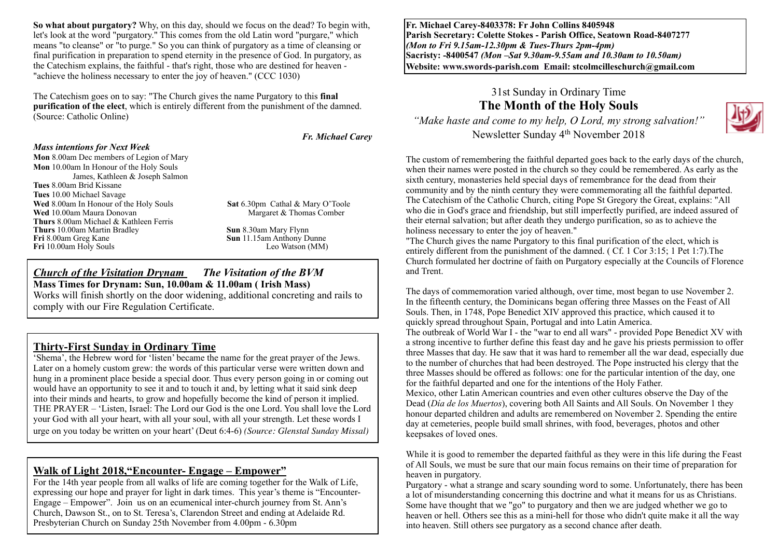**So what about purgatory?** Why, on this day, should we focus on the dead? To begin with, let's look at the word "purgatory." This comes from the old Latin word "purgare," which means "to cleanse" or "to purge." So you can think of purgatory as a time of cleansing or final purification in preparation to spend eternity in the presence of God. In purgatory, as the Catechism explains, the faithful - that's right, those who are destined for heaven - "achieve the holiness necessary to enter the joy of heaven." (CCC 1030)

The Catechism goes on to say: "The Church gives the name Purgatory to this **final purification of the elect**, which is entirely different from the punishment of the damned. (Source: Catholic Online)

*Fr. Michael Carey*

#### *Mass intentions for Next Week*

**Mon** 8.00am Dec members of Legion of Mary **Mon** 10.00am In Honour of the Holy Souls James, Kathleen & Joseph Salmon **Tues** 8.00am Brid Kissane **Tues** 10.00 Michael Savage **Wed** 8.00am In Honour of the Holy Souls **Sat** 6.30pm Cathal & Mary O'Toole **Wed** 10.00am Maura Donovan **Margaret & Thomas Comber Thurs** 8.00am Michael & Kathleen Ferris **Thurs** 10.00am Martin Bradley **Sun 8.30am Mary Flynn Fri 8.00am Gree Kane Fri** 10.00am Holy Souls

**Sun** 11.15am Anthony Dunne<br>Leo Watson (MM)

#### *Church of the Visitation Drynam**The Visitation of the BVM* **Mass Times for Drynam: Sun, 10.00am & 11.00am ( Irish Mass)**

Works will finish shortly on the door widening, additional concreting and rails to comply with our Fire Regulation Certificate.

#### **Thirty-First Sunday in Ordinary Time**

'Shema', the Hebrew word for 'listen' became the name for the great prayer of the Jews. Later on a homely custom grew: the words of this particular verse were written down and hung in a prominent place beside a special door. Thus every person going in or coming out would have an opportunity to see it and to touch it and, by letting what it said sink deep into their minds and hearts, to grow and hopefully become the kind of person it implied. THE PRAYER – 'Listen, Israel: The Lord our God is the one Lord. You shall love the Lord your God with all your heart, with all your soul, with all your strength. Let these words I urge on you today be written on your heart' (Deut 6:4-6) *(Source: Glenstal Sunday Missal)*

## **Walk of Light 2018,"Encounter- Engage – Empower"**

For the 14th year people from all walks of life are coming together for the Walk of Life, expressing our hope and prayer for light in dark times. This year's theme is "Encounter-Engage – Empower". Join us on an ecumenical inter-church journey from St. Ann's Church, Dawson St., on to St. Teresa's, Clarendon Street and ending at Adelaide Rd. Presbyterian Church on Sunday 25th November from 4.00pm - 6.30pm

**Fr. Michael Carey-8403378: Fr John Collins 8405948 Parish Secretary: Colette Stokes - Parish Office, Seatown Road-8407277**  *(Mon to Fri 9.15am-12.30pm & Tues-Thurs 2pm-4pm)*  **Sacristy: -8400547** *(Mon –Sat 9.30am-9.55am and 10.30am to 10.50am)* **Website: [www.swords-parish.com Email:](http://www.swords-parish.com%20%20email) stcolmcilleschurch@gmail.com**

# 31st Sunday in Ordinary Time **The Month of the Holy Souls**

*"Make haste and come to my help, O Lord, my strong salvation!"*  Newsletter Sunday 4th November 2018



The custom of remembering the faithful departed goes back to the early days of the church, when their names were posted in the church so they could be remembered. As early as the sixth century, monasteries held special days of remembrance for the dead from their community and by the ninth century they were commemorating all the faithful departed. The Catechism of the Catholic Church, citing Pope St Gregory the Great, explains: "All who die in God's grace and friendship, but still imperfectly purified, are indeed assured of their eternal salvation; but after death they undergo purification, so as to achieve the holiness necessary to enter the joy of heaven."

"The Church gives the name Purgatory to this final purification of the elect, which is entirely different from the punishment of the damned. ( Cf. 1 Cor 3:15; 1 Pet 1:7).The Church formulated her doctrine of faith on Purgatory especially at the Councils of Florence and Trent.

The days of commemoration varied although, over time, most began to use November 2. In the fifteenth century, the Dominicans began offering three Masses on the Feast of All Souls. Then, in 1748, Pope Benedict XIV approved this practice, which caused it to quickly spread throughout Spain, Portugal and into Latin America.

The outbreak of World War I - the "war to end all wars" - provided Pope Benedict XV with a strong incentive to further define this feast day and he gave his priests permission to offer three Masses that day. He saw that it was hard to remember all the war dead, especially due to the number of churches that had been destroyed. The Pope instructed his clergy that the three Masses should be offered as follows: one for the particular intention of the day, one for the faithful departed and one for the intentions of the Holy Father.

Mexico, other Latin American countries and even other cultures observe the Day of the Dead (*Día de los Muertos*), covering both All Saints and All Souls. On November 1 they honour departed children and adults are remembered on November 2. Spending the entire day at cemeteries, people build small shrines, with food, beverages, photos and other keepsakes of loved ones.

While it is good to remember the departed faithful as they were in this life during the Feast of All Souls, we must be sure that our main focus remains on their time of preparation for heaven in purgatory.

Purgatory - what a strange and scary sounding word to some. Unfortunately, there has been a lot of misunderstanding concerning this doctrine and what it means for us as Christians. Some have thought that we "go" to purgatory and then we are judged whether we go to heaven or hell. Others see this as a mini-hell for those who didn't quite make it all the way into heaven. Still others see purgatory as a second chance after death.